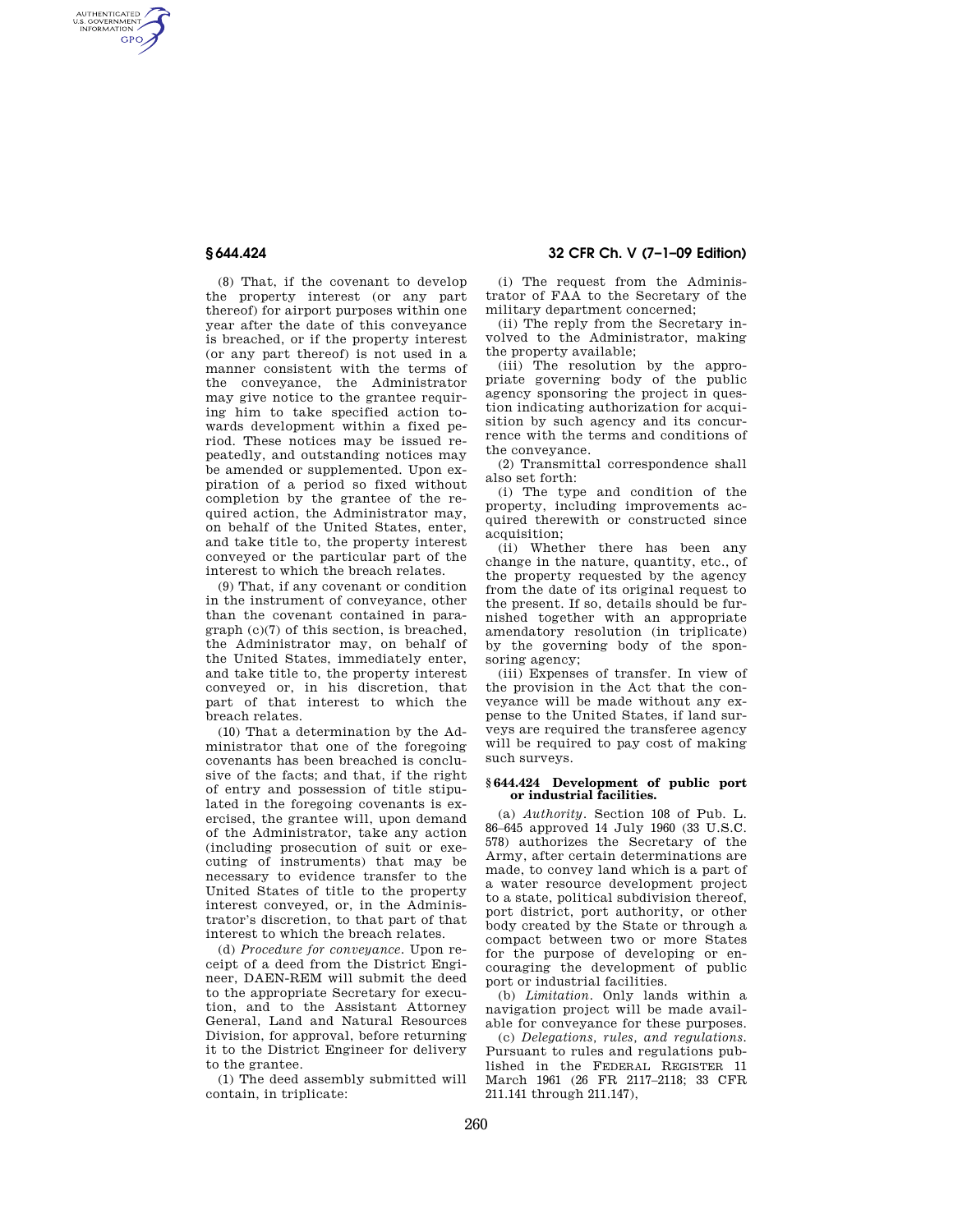AUTHENTICATED<br>U.S. GOVERNMENT<br>INFORMATION **GPO** 

> (8) That, if the covenant to develop the property interest (or any part thereof) for airport purposes within one year after the date of this conveyance is breached, or if the property interest (or any part thereof) is not used in a manner consistent with the terms of the conveyance, the Administrator may give notice to the grantee requiring him to take specified action towards development within a fixed period. These notices may be issued repeatedly, and outstanding notices may be amended or supplemented. Upon expiration of a period so fixed without completion by the grantee of the required action, the Administrator may, on behalf of the United States, enter, and take title to, the property interest conveyed or the particular part of the interest to which the breach relates.

> (9) That, if any covenant or condition in the instrument of conveyance, other than the covenant contained in paragraph (c)(7) of this section, is breached, the Administrator may, on behalf of the United States, immediately enter, and take title to, the property interest conveyed or, in his discretion, that part of that interest to which the breach relates.

> (10) That a determination by the Administrator that one of the foregoing covenants has been breached is conclusive of the facts; and that, if the right of entry and possession of title stipulated in the foregoing covenants is exercised, the grantee will, upon demand of the Administrator, take any action (including prosecution of suit or executing of instruments) that may be necessary to evidence transfer to the United States of title to the property interest conveyed, or, in the Administrator's discretion, to that part of that interest to which the breach relates.

> (d) *Procedure for conveyance.* Upon receipt of a deed from the District Engineer, DAEN-REM will submit the deed to the appropriate Secretary for execution, and to the Assistant Attorney General, Land and Natural Resources Division, for approval, before returning it to the District Engineer for delivery to the grantee.

(1) The deed assembly submitted will contain, in triplicate:

# **§ 644.424 32 CFR Ch. V (7–1–09 Edition)**

(i) The request from the Administrator of FAA to the Secretary of the military department concerned;

(ii) The reply from the Secretary involved to the Administrator, making the property available;

(iii) The resolution by the appropriate governing body of the public agency sponsoring the project in question indicating authorization for acquisition by such agency and its concurrence with the terms and conditions of the conveyance.

(2) Transmittal correspondence shall also set forth:

(i) The type and condition of the property, including improvements acquired therewith or constructed since acquisition:

(ii) Whether there has been any change in the nature, quantity, etc., of the property requested by the agency from the date of its original request to the present. If so, details should be furnished together with an appropriate amendatory resolution (in triplicate) by the governing body of the sponsoring agency;

(iii) Expenses of transfer. In view of the provision in the Act that the conveyance will be made without any expense to the United States, if land surveys are required the transferee agency will be required to pay cost of making such surveys.

### **§ 644.424 Development of public port or industrial facilities.**

(a) *Authority.* Section 108 of Pub. L. 86–645 approved 14 July 1960 (33 U.S.C. 578) authorizes the Secretary of the Army, after certain determinations are made, to convey land which is a part of a water resource development project to a state, political subdivision thereof, port district, port authority, or other body created by the State or through a compact between two or more States for the purpose of developing or encouraging the development of public port or industrial facilities.

(b) *Limitation.* Only lands within a navigation project will be made available for conveyance for these purposes.

(c) *Delegations, rules, and regulations.*  Pursuant to rules and regulations published in the FEDERAL REGISTER 11 March 1961 (26 FR 2117–2118; 33 CFR 211.141 through 211.147),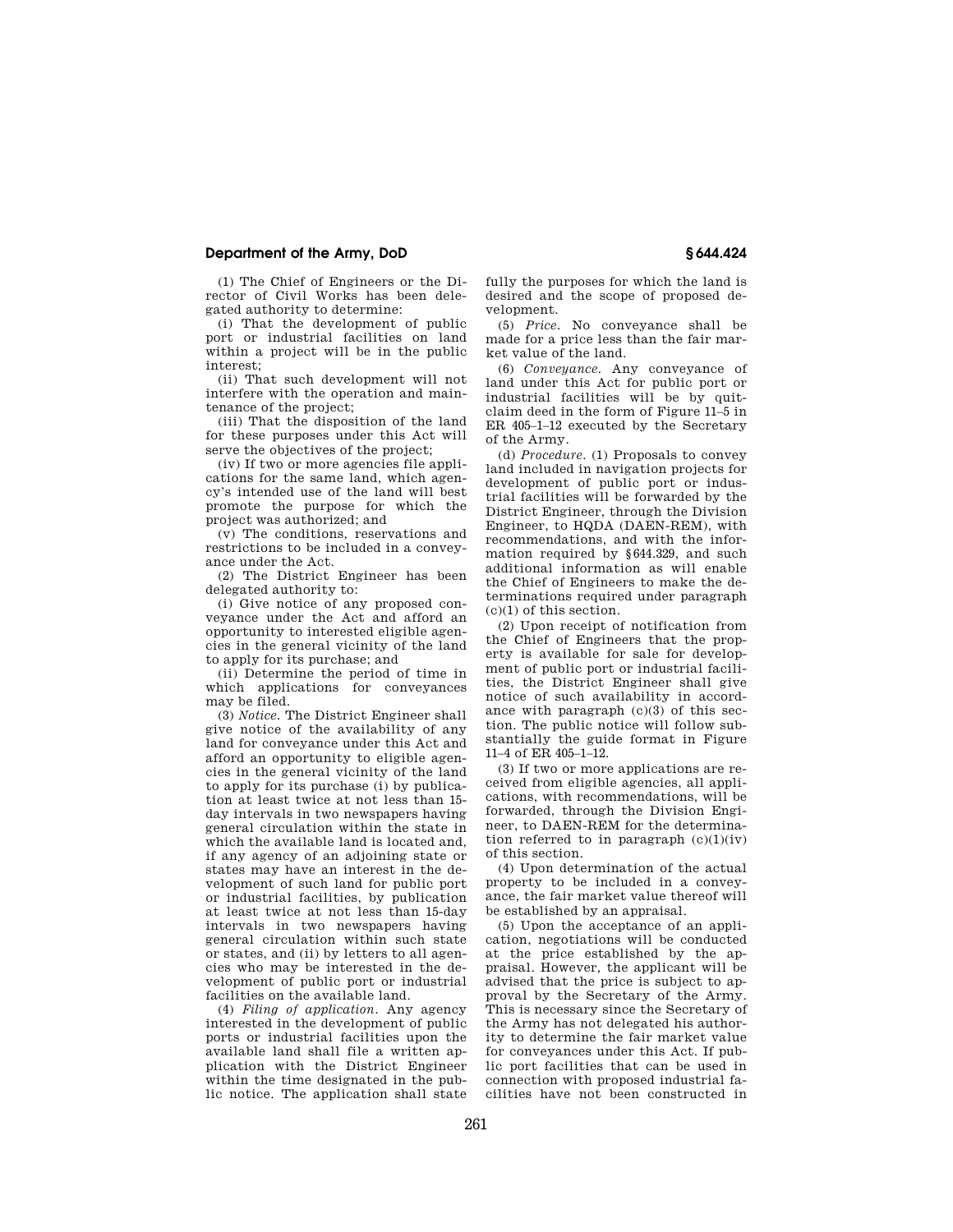## **Department of the Army, DoD § 644.424**

(1) The Chief of Engineers or the Director of Civil Works has been delegated authority to determine:

(i) That the development of public port or industrial facilities on land within a project will be in the public interest;

(ii) That such development will not interfere with the operation and maintenance of the project;

(iii) That the disposition of the land for these purposes under this Act will serve the objectives of the project;

(iv) If two or more agencies file applications for the same land, which agency's intended use of the land will best promote the purpose for which the project was authorized; and

(v) The conditions, reservations and restrictions to be included in a conveyance under the Act.

(2) The District Engineer has been delegated authority to:

(i) Give notice of any proposed conveyance under the Act and afford an opportunity to interested eligible agencies in the general vicinity of the land to apply for its purchase; and

(ii) Determine the period of time in which applications for conveyances may be filed.

(3) *Notice.* The District Engineer shall give notice of the availability of any land for conveyance under this Act and afford an opportunity to eligible agencies in the general vicinity of the land to apply for its purchase (i) by publication at least twice at not less than 15 day intervals in two newspapers having general circulation within the state in which the available land is located and, if any agency of an adjoining state or states may have an interest in the development of such land for public port or industrial facilities, by publication at least twice at not less than 15-day intervals in two newspapers having general circulation within such state or states, and (ii) by letters to all agencies who may be interested in the development of public port or industrial facilities on the available land.

(4) *Filing of application.* Any agency interested in the development of public ports or industrial facilities upon the available land shall file a written application with the District Engineer within the time designated in the public notice. The application shall state fully the purposes for which the land is desired and the scope of proposed development.

(5) *Price.* No conveyance shall be made for a price less than the fair market value of the land.

(6) *Conveyance.* Any conveyance of land under this Act for public port or industrial facilities will be by quitclaim deed in the form of Figure 11–5 in ER 405–1–12 executed by the Secretary of the Army.

(d) *Procedure.* (1) Proposals to convey land included in navigation projects for development of public port or industrial facilities will be forwarded by the District Engineer, through the Division Engineer, to HQDA (DAEN-REM), with recommendations, and with the information required by §644.329, and such additional information as will enable the Chief of Engineers to make the determinations required under paragraph  $(c)(1)$  of this section.

(2) Upon receipt of notification from the Chief of Engineers that the property is available for sale for development of public port or industrial facilities, the District Engineer shall give notice of such availability in accordance with paragraph (c)(3) of this section. The public notice will follow substantially the guide format in Figure 11–4 of ER 405–1–12.

(3) If two or more applications are received from eligible agencies, all applications, with recommendations, will be forwarded, through the Division Engineer, to DAEN-REM for the determination referred to in paragraph  $(c)(1)(iv)$ of this section.

(4) Upon determination of the actual property to be included in a conveyance, the fair market value thereof will be established by an appraisal.

(5) Upon the acceptance of an application, negotiations will be conducted at the price established by the appraisal. However, the applicant will be advised that the price is subject to approval by the Secretary of the Army. This is necessary since the Secretary of the Army has not delegated his authority to determine the fair market value for conveyances under this Act. If public port facilities that can be used in connection with proposed industrial facilities have not been constructed in